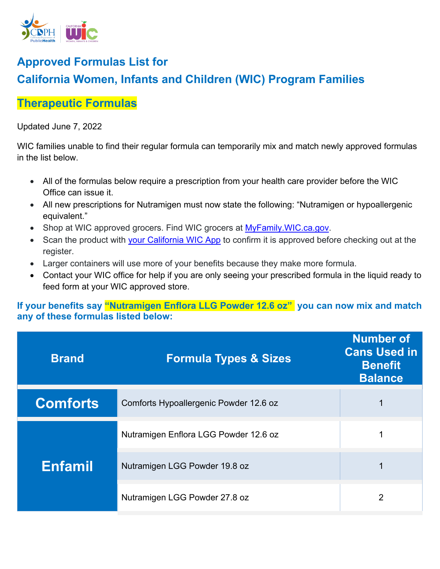

## **Approved Formulas List for California Women, Infants and Children (WIC) Program Families**

## **Therapeutic Formulas**

## Updated June 7, 2022

WIC families unable to find their regular formula can temporarily mix and match newly approved formulas in the list below.

- All of the formulas below require a prescription from your health care provider before the WIC Office can issue it.
- All new prescriptions for Nutramigen must now state the following: "Nutramigen or hypoallergenic equivalent."
- Shop at WIC approved grocers. Find WIC grocers at MyFamily. WIC.ca.gov.
- Scan the product with [your California WIC App](https://www.myfamily.wic.ca.gov/Home/WICApp#WICApp) to confirm it is approved before checking out at the register.
- Larger containers will use more of your benefits because they make more formula.
- Contact your WIC office for help if you are only seeing your prescribed formula in the liquid ready to feed form at your WIC approved store.

**If your benefits say "Nutramigen Enflora LLG Powder 12.6 oz" you can now mix and match any of these formulas listed below:** 

| <b>Brand</b>    | <b>Formula Types &amp; Sizes</b>       | <b>Number of</b><br><b>Cans Used in</b><br><b>Benefit</b><br><b>Balance</b> |
|-----------------|----------------------------------------|-----------------------------------------------------------------------------|
| <b>Comforts</b> | Comforts Hypoallergenic Powder 12.6 oz |                                                                             |
| <b>Enfamil</b>  | Nutramigen Enflora LGG Powder 12.6 oz  |                                                                             |
|                 | Nutramigen LGG Powder 19.8 oz          |                                                                             |
|                 | Nutramigen LGG Powder 27.8 oz          | 2                                                                           |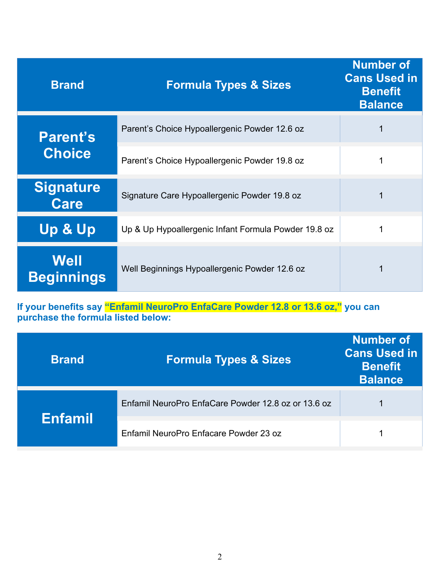| <b>Brand</b>                     | <b>Formula Types &amp; Sizes</b>                     | <b>Number of</b><br><b>Cans Used in</b><br><b>Benefit</b><br><b>Balance</b> |
|----------------------------------|------------------------------------------------------|-----------------------------------------------------------------------------|
| <b>Parent's</b><br><b>Choice</b> | Parent's Choice Hypoallergenic Powder 12.6 oz        |                                                                             |
|                                  | Parent's Choice Hypoallergenic Powder 19.8 oz        |                                                                             |
| <b>Signature</b><br>Care         | Signature Care Hypoallergenic Powder 19.8 oz         |                                                                             |
| <b>Up &amp; Up</b>               | Up & Up Hypoallergenic Infant Formula Powder 19.8 oz |                                                                             |
| Well<br><b>Beginnings</b>        | Well Beginnings Hypoallergenic Powder 12.6 oz        |                                                                             |

**If your benefits say "Enfamil NeuroPro EnfaCare Powder 12.8 or 13.6 oz," you can purchase the formula listed below:** 

| <b>Brand</b>   | <b>Formula Types &amp; Sizes</b>                    | <b>Number of</b><br><b>Cans Used in</b><br><b>Benefit</b><br><b>Balance</b> |
|----------------|-----------------------------------------------------|-----------------------------------------------------------------------------|
| <b>Enfamil</b> | Enfamil NeuroPro EnfaCare Powder 12.8 oz or 13.6 oz |                                                                             |
|                | Enfamil NeuroPro Enfacare Powder 23 oz              |                                                                             |